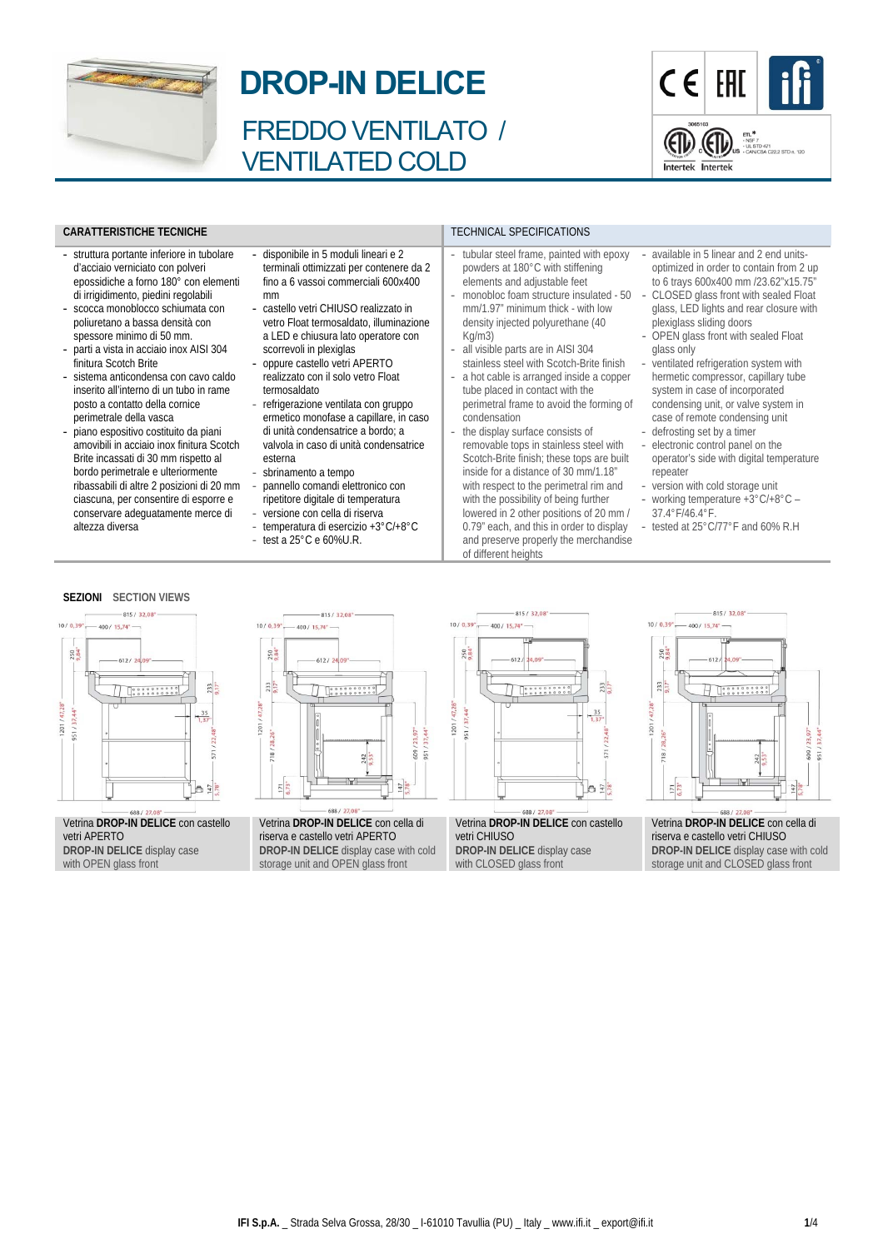

# **DROP-IN DELICE**

FREDDO VENTILATO / VENTILATED COLD

- disponibile in 5 moduli lineari e 2 terminali ottimizzati per contenere da 2 fino a 6 vassoi commerciali 600x400

- castello vetri CHIUSO realizzato in vetro Float termosaldato, illuminazione a LED e chiusura lato operatore con

- refrigerazione ventilata con gruppo ermetico monofase a capillare, in caso di unità condensatrice a bordo; a valvola in caso di unità condensatrice

pannello comandi elettronico con ripetitore digitale di temperatura versione con cella di riserva temperatura di esercizio +3°C/+8°C

test a 25°C e 60%U.R.

scorrevoli in plexiglas - oppure castello vetri APERTO realizzato con il solo vetro Float

termosaldato

esterna - sbrinamento a tempo

mm



### **CARATTERISTICHE TECNICHE TECHNICAL SPECIFICATIONS**

- struttura portante inferiore in tubolare d'acciaio verniciato con polveri epossidiche a forno 180° con elementi di irrigidimento, piedini regolabili
- scocca monoblocco schiumata con poliuretano a bassa densità con spessore minimo di 50 mm.
- parti a vista in acciaio inox AISI 304 finitura Scotch Brite
- sistema anticondensa con cavo caldo inserito all'interno di un tubo in rame posto a contatto della cornice perimetrale della vasca
- piano espositivo costituito da piani amovibili in acciaio inox finitura Scotch Brite incassati di 30 mm rispetto al bordo perimetrale e ulteriormente ribassabili di altre 2 posizioni di 20 mm ciascuna, per consentire di esporre e conservare adeguatamente merce di altezza diversa
- **SEZIONI SECTION VIEWS**



#### Vetrina **DROP-IN DELICE** con castello vetri APERTO **DROP-IN DELICE** display case with OPEN glass front



Vetrina **DROP-IN DELICE** con cella di riserva e castello vetri APERTO **DROP-IN DELICE** display case with cold storage unit and OPEN glass front



tubular steel frame, painted with epoxy powders at 180°C with stiffening elements and adjustable feet - monobloc foam structure insulated - 50 mm/1.97" minimum thick - with low density injected polyurethane (40

all visible parts are in AISI 304 stainless steel with Scotch-Brite finish a hot cable is arranged inside a copper tube placed in contact with the perimetral frame to avoid the forming of

the display surface consists of removable tops in stainless steel with Scotch-Brite finish; these tops are built inside for a distance of 30 mm/1.18" with respect to the perimetral rim and with the possibility of being further lowered in 2 other positions of 20 mm / 0.79" each, and this in order to display and preserve properly the merchandise

Kg/m3)

condensation

of different heights

Vetrina **DROP-IN DELICE** con castello vetri CHIUSO **DROP-IN DELICE** display case with CLOSED glass front

## - available in 5 linear and 2 end unitsoptimized in order to contain from 2 up to 6 trays 600x400 mm /23.62"x15.75"

- CLOSED glass front with sealed Float glass, LED lights and rear closure with plexiglass sliding doors
- OPEN glass front with sealed Float glass only
- ventilated refrigeration system with hermetic compressor, capillary tube system in case of incorporated condensing unit, or valve system in case of remote condensing unit
- defrosting set by a timer electronic control panel on the
- operator's side with digital temperature repeater
- version with cold storage unit
- working temperature  $+3^{\circ}$ C/ $+8^{\circ}$ C 37.4°F/46.4°F.
- tested at 25°C/77°F and 60% R.H

815/32.08

400 / 15.74

 $-612$ 

 $\overline{H}$ 

 $10/0.39"$ 

250

 $233$ 

718/28.26"

47.28"

201



 $242$ <br>9.53

/609  $51/$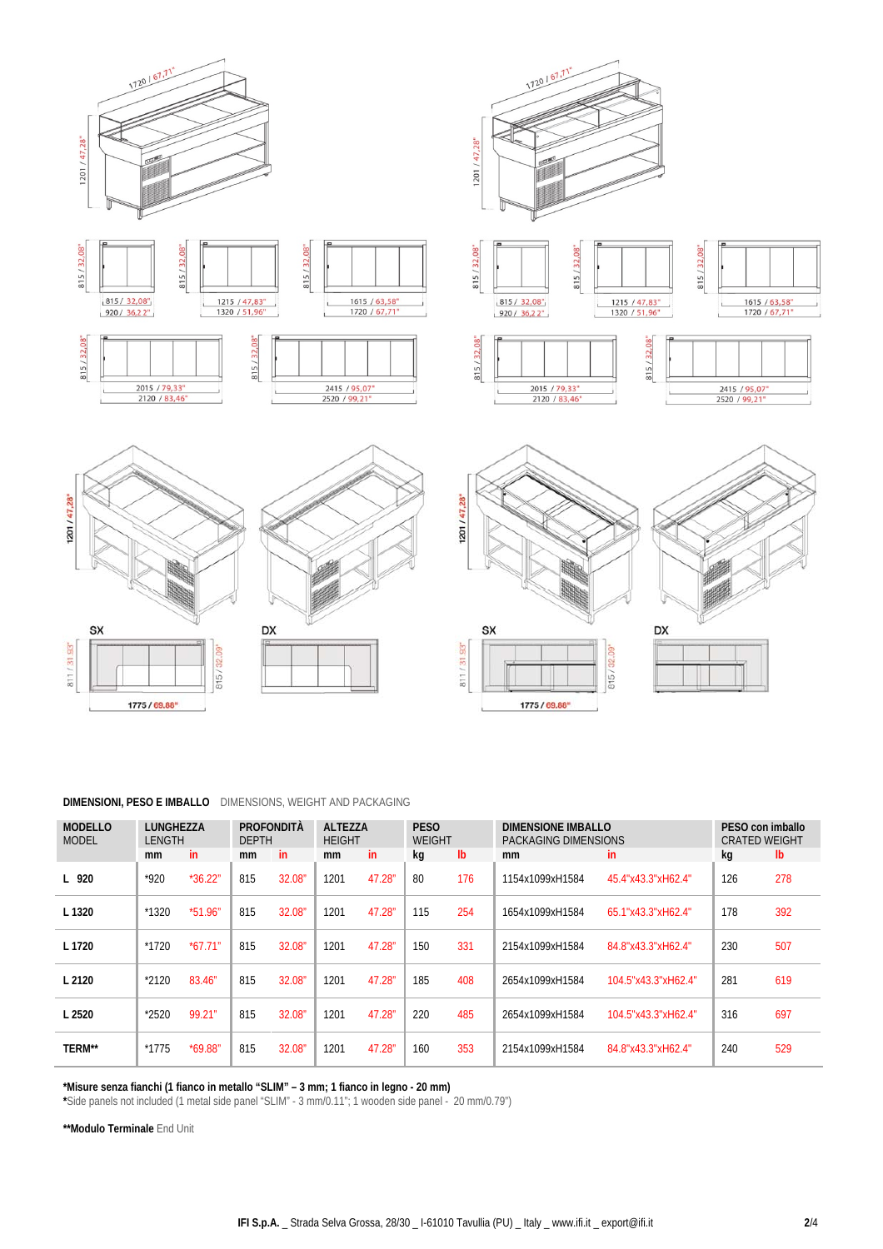

# **DIMENSIONI, PESO E IMBALLO** DIMENSIONS, WEIGHT AND PACKAGING

| <b>MODELLO</b><br><b>MODEL</b> | <b>LUNGHEZZA</b><br><b>LENGTH</b> |           | PROFONDITÀ<br><b>DEPTH</b> |        | <b>ALTEZZA</b><br><b>HEIGHT</b> |        | <b>PESO</b><br><b>WEIGHT</b> |               | DIMENSIONE IMBALLO<br>PACKAGING DIMENSIONS | PESO con imballo<br><b>CRATED WEIGHT</b> |     |               |
|--------------------------------|-----------------------------------|-----------|----------------------------|--------|---------------------------------|--------|------------------------------|---------------|--------------------------------------------|------------------------------------------|-----|---------------|
|                                | mm                                | in.       | mm                         | in     | <sub>mm</sub>                   | in.    | kq                           | $\mathsf{lb}$ | mm                                         | in.                                      | kg  | $\mathsf{lb}$ |
| L 920                          | $*920$                            | $*36.22"$ | 815                        | 32.08" | 1201                            | 47.28" | 80                           | 176           | 1154x1099xH1584                            | 45.4"x43.3"xH62.4"                       | 126 | 278           |
| L 1320                         | $*1320$                           | $*51.96"$ | 815                        | 32.08" | 1201                            | 47.28" | 115                          | 254           | 1654x1099xH1584                            | 65.1"x43.3"xH62.4"                       | 178 | 392           |
| L 1720                         | $*1720$                           | $*67.71"$ | 815                        | 32.08" | 1201                            | 47.28" | 150                          | 331           | 2154x1099xH1584                            | 84.8"x43.3"xH62.4"                       | 230 | 507           |
| L2120                          | $*2120$                           | 83.46"    | 815                        | 32.08" | 1201                            | 47.28" | 185                          | 408           | 2654x1099xH1584                            | 104.5"x43.3"xH62.4"                      | 281 | 619           |
| L 2520                         | $*2520$                           | 99.21"    | 815                        | 32.08" | 1201                            | 47.28" | 220                          | 485           | 2654x1099xH1584                            | 104.5"x43.3"xH62.4"                      | 316 | 697           |
| <b>TERM**</b>                  | $*1775$                           | *69.88"   | 815                        | 32.08" | 1201                            | 47.28" | 160                          | 353           | 2154x1099xH1584                            | 84.8"x43.3"xH62.4"                       | 240 | 529           |

**\*Misure senza fianchi (1 fianco in metallo "SLIM" – 3 mm; 1 fianco in legno - 20 mm)** 

**\***Side panels not included (1 metal side panel "SLIM" - 3 mm/0.11"; 1 wooden side panel - 20 mm/0.79")

**\*\*Modulo Terminale** End Unit

l,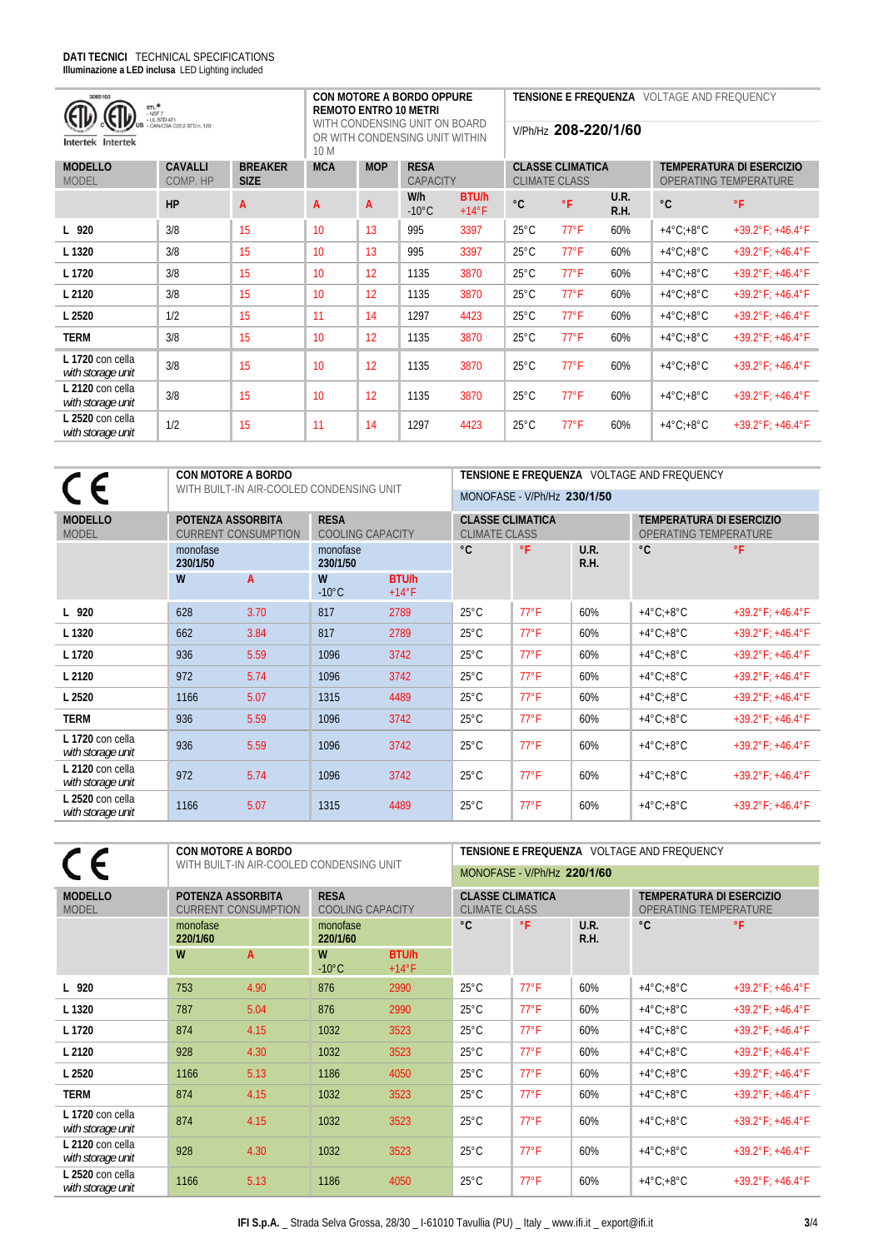| 3065103<br>$ETL*$<br>$-$ NSF $7$<br>- UL STD 471<br>- CAN/CSA C22.2 STD n. 120<br>Intertek Intertek | <b>CON MOTORE A BORDO OPPURE</b><br><b>REMOTO ENTRO 10 METRI</b><br>WITH CONDENSING UNIT ON BOARD<br>OR WITH CONDENSING UNIT WITHIN<br>10 M |                               |            |            | <b>TENSIONE E FREQUENZA VOLTAGE AND FREQUENCY</b><br>V/Ph/Hz 208-220/1/60 |                         |                                                 |                |              |                                                          |                                     |  |
|-----------------------------------------------------------------------------------------------------|---------------------------------------------------------------------------------------------------------------------------------------------|-------------------------------|------------|------------|---------------------------------------------------------------------------|-------------------------|-------------------------------------------------|----------------|--------------|----------------------------------------------------------|-------------------------------------|--|
| <b>MODELLO</b><br><b>MODEL</b>                                                                      | <b>CAVALLI</b><br>COMP. HP                                                                                                                  | <b>BREAKER</b><br><b>SIZE</b> | <b>MCA</b> | <b>MOP</b> | <b>RESA</b><br>CAPACITY                                                   |                         | <b>CLASSE CLIMATICA</b><br><b>CLIMATE CLASS</b> |                |              | <b>TEMPERATURA DI ESERCIZIO</b><br>OPERATING TEMPERATURE |                                     |  |
|                                                                                                     | HP                                                                                                                                          | A                             | A          | A          | W/h<br>$-10^{\circ}$ C                                                    | BTU/h<br>$+14^{\circ}F$ | $^{\circ}$ C                                    | °F             | U.R.<br>R.H. | $^{\circ}C$                                              | $\circ$ F                           |  |
| L 920                                                                                               | 3/8                                                                                                                                         | 15                            | 10         | 13         | 995                                                                       | 3397                    | $25^{\circ}$ C                                  | $77^{\circ}$ F | 60%          | $+4^{\circ}$ C; $+8^{\circ}$ C                           | $+39.2^{\circ}F$ ; $+46.4^{\circ}F$ |  |
| L 1320                                                                                              | 3/8                                                                                                                                         | 15                            | 10         | 13         | 995                                                                       | 3397                    | $25^{\circ}$ C                                  | $77^{\circ}$ F | 60%          | $+4^{\circ}$ C; $+8^{\circ}$ C                           | $+39.2^{\circ}F$ ; $+46.4^{\circ}F$ |  |
| L 1720                                                                                              | 3/8                                                                                                                                         | 15                            | 10         | 12         | 1135                                                                      | 3870                    | $25^{\circ}$ C                                  | $77^{\circ}$ F | 60%          | $+4^{\circ}$ C; $+8^{\circ}$ C                           | $+39.2^{\circ}F$ ; $+46.4^{\circ}F$ |  |
| L 2120                                                                                              | 3/8                                                                                                                                         | 15                            | 10         | 12         | 1135                                                                      | 3870                    | $25^{\circ}$ C                                  | $77^{\circ}$ F | 60%          | $+4^{\circ}$ C; $+8^{\circ}$ C                           | $+39.2^{\circ}F$ ; $+46.4^{\circ}F$ |  |
| L 2520                                                                                              | 1/2                                                                                                                                         | 15                            | 11         | 14         | 1297                                                                      | 4423                    | $25^{\circ}$ C                                  | $77^{\circ}$ F | 60%          | $+4^{\circ}$ C; $+8^{\circ}$ C                           | $+39.2^{\circ}F$ ; $+46.4^{\circ}F$ |  |
| <b>TERM</b>                                                                                         | 3/8                                                                                                                                         | 15                            | 10         | 12         | 1135                                                                      | 3870                    | $25^{\circ}$ C                                  | $77^{\circ}$ F | 60%          | $+4^{\circ}$ C; $+8^{\circ}$ C                           | $+39.2^{\circ}F$ ; $+46.4^{\circ}F$ |  |
| L 1720 con cella<br>with storage unit                                                               | 3/8                                                                                                                                         | 15                            | 10         | 12         | 1135                                                                      | 3870                    | $25^{\circ}$ C                                  | $77^{\circ}$ F | 60%          | $+4^{\circ}$ C: $+8^{\circ}$ C                           | $+39.2^{\circ}F$ ; $+46.4^{\circ}F$ |  |
| L 2120 con cella<br>with storage unit                                                               | 3/8                                                                                                                                         | 15                            | 10         | 12         | 1135                                                                      | 3870                    | $25^{\circ}$ C                                  | $77^{\circ}$ F | 60%          | $+4^{\circ}$ C; $+8^{\circ}$ C                           | $+39.2^{\circ}F$ ; $+46.4^{\circ}F$ |  |
| L 2520 con cella<br>with storage unit                                                               | 1/2                                                                                                                                         | 15                            | 11         | 14         | 1297                                                                      | 4423                    | $25^{\circ}$ C                                  | $77^{\circ}$ F | 60%          | $+4^{\circ}$ C; $+8^{\circ}$ C                           | $+39.2^{\circ}F$ ; $+46.4^{\circ}F$ |  |

|                                       |                                          | <b>CON MOTORE A BORDO</b>  |                                        |                         | TENSIONE E FREQUENZA VOLTAGE AND FREQUENCY      |                             |              |                                                                 |                                     |  |  |  |
|---------------------------------------|------------------------------------------|----------------------------|----------------------------------------|-------------------------|-------------------------------------------------|-----------------------------|--------------|-----------------------------------------------------------------|-------------------------------------|--|--|--|
|                                       | WITH BUILT-IN AIR-COOLED CONDENSING UNIT |                            |                                        |                         |                                                 | MONOFASE - V/Ph/Hz 230/1/50 |              |                                                                 |                                     |  |  |  |
| <b>MODELLO</b><br><b>MODEL</b>        | POTENZA ASSORBITA                        | <b>CURRENT CONSUMPTION</b> | <b>RESA</b><br><b>COOLING CAPACITY</b> |                         | <b>CLASSE CLIMATICA</b><br><b>CLIMATE CLASS</b> |                             |              | <b>TEMPERATURA DI ESERCIZIO</b><br><b>OPERATING TEMPERATURE</b> |                                     |  |  |  |
|                                       | monofase<br>230/1/50                     |                            | monofase<br>230/1/50                   |                         | °C                                              | °F                          | U.R.<br>R.H. | $^{\circ}C$                                                     | $\circ$ F                           |  |  |  |
|                                       | W                                        | A                          | W<br>$-10^{\circ}$ C                   | BTU/h<br>$+14^{\circ}F$ |                                                 |                             |              |                                                                 |                                     |  |  |  |
| L 920                                 | 628                                      | 3.70                       | 817                                    | 2789                    | $25^{\circ}$ C                                  | $77^{\circ}$ F              | 60%          | $+4^{\circ}$ C: $+8^{\circ}$ C                                  | $+39.2^{\circ}F$ ; $+46.4^{\circ}F$ |  |  |  |
| L 1320                                | 662                                      | 3.84                       | 817                                    | 2789                    | $25^{\circ}$ C                                  | $77^{\circ}$ F              | 60%          | $+4^{\circ}$ C: $+8^{\circ}$ C                                  | $+39.2^{\circ}F$ ; $+46.4^{\circ}F$ |  |  |  |
| L 1720                                | 936                                      | 5.59                       | 1096                                   | 3742                    | $25^{\circ}$ C                                  | $77^{\circ}$ F              | 60%          | $+4^{\circ}$ C: $+8^{\circ}$ C                                  | $+39.2^{\circ}F$ ; $+46.4^{\circ}F$ |  |  |  |
| L 2120                                | 972                                      | 5.74                       | 1096                                   | 3742                    | $25^{\circ}$ C                                  | $77^{\circ}$ F              | 60%          | $+4^{\circ}$ C: $+8^{\circ}$ C                                  | $+39.2^{\circ}F$ ; $+46.4^{\circ}F$ |  |  |  |
| L 2520                                | 1166                                     | 5.07                       | 1315                                   | 4489                    | $25^{\circ}$ C                                  | $77^{\circ}$ F              | 60%          | $+4^{\circ}$ C: $+8^{\circ}$ C                                  | $+39.2^{\circ}F$ ; $+46.4^{\circ}F$ |  |  |  |
| <b>TERM</b>                           | 936                                      | 5.59                       | 1096                                   | 3742                    | $25^{\circ}$ C                                  | $77^{\circ}$ F              | 60%          | $+4^{\circ}$ C: $+8^{\circ}$ C                                  | $+39.2^{\circ}F$ ; $+46.4^{\circ}F$ |  |  |  |
| L 1720 con cella<br>with storage unit | 936                                      | 5.59                       | 1096                                   | 3742                    | $25^{\circ}$ C                                  | $77^{\circ}$ F              | 60%          | $+4^{\circ}$ C: $+8^{\circ}$ C                                  | $+39.2^{\circ}F$ ; $+46.4^{\circ}F$ |  |  |  |
| L 2120 con cella<br>with storage unit | 972                                      | 5.74                       | 1096                                   | 3742                    | $25^{\circ}$ C                                  | $77^{\circ}$ F              | 60%          | $+4^{\circ}$ C: $+8^{\circ}$ C                                  | $+39.2^{\circ}F$ ; $+46.4^{\circ}F$ |  |  |  |
| L 2520 con cella<br>with storage unit | 1166                                     | 5.07                       | 1315                                   | 4489                    | $25^{\circ}$ C                                  | $77^{\circ}$ F              | 60%          | $+4^{\circ}$ C: $+8^{\circ}$ C                                  | $+39.2^{\circ}F$ ; $+46.4^{\circ}F$ |  |  |  |

|                                       | <b>CON MOTORE A BORDO</b><br>WITH BUILT-IN AIR-COOLED CONDENSING UNIT |      |                                        |                         |                                                 | TENSIONE E FREQUENZA VOLTAGE AND FREQUENCY |              |                                                                 |                                     |  |  |  |
|---------------------------------------|-----------------------------------------------------------------------|------|----------------------------------------|-------------------------|-------------------------------------------------|--------------------------------------------|--------------|-----------------------------------------------------------------|-------------------------------------|--|--|--|
|                                       |                                                                       |      |                                        |                         |                                                 | MONOFASE - V/Ph/Hz 220/1/60                |              |                                                                 |                                     |  |  |  |
| <b>MODELLO</b><br><b>MODEL</b>        | POTENZA ASSORBITA<br><b>CURRENT CONSUMPTION</b>                       |      | <b>RESA</b><br><b>COOLING CAPACITY</b> |                         | <b>CLASSE CLIMATICA</b><br><b>CLIMATE CLASS</b> |                                            |              | <b>TEMPERATURA DI ESERCIZIO</b><br><b>OPERATING TEMPERATURE</b> |                                     |  |  |  |
|                                       | monofase<br>220/1/60                                                  |      | monofase<br>220/1/60                   |                         | $^{\circ}C$                                     | $\circ$ F                                  | U.R.<br>R.H. | $^{\circ}C$                                                     | °F                                  |  |  |  |
|                                       | W                                                                     | A    | W<br>$-10^{\circ}$ C                   | BTU/h<br>$+14^{\circ}F$ |                                                 |                                            |              |                                                                 |                                     |  |  |  |
| L 920                                 | 753                                                                   | 4.90 | 876                                    | 2990                    | $25^{\circ}$ C                                  | $77^{\circ}$ F                             | 60%          | $+4^{\circ}$ C: $+8^{\circ}$ C                                  | $+39.2^{\circ}F$ ; $+46.4^{\circ}F$ |  |  |  |
| L 1320                                | 787                                                                   | 5.04 | 876                                    | 2990                    | $25^{\circ}$ C                                  | $77^{\circ}$ F                             | 60%          | $+4^{\circ}$ C: $+8^{\circ}$ C                                  | $+39.2^{\circ}F$ ; $+46.4^{\circ}F$ |  |  |  |
| L 1720                                | 874                                                                   | 4.15 | 1032                                   | 3523                    | $25^{\circ}$ C                                  | $77^{\circ}$ F                             | 60%          | $+4^{\circ}$ C: $+8^{\circ}$ C                                  | $+39.2^{\circ}F$ ; $+46.4^{\circ}F$ |  |  |  |
| L 2120                                | 928                                                                   | 4.30 | 1032                                   | 3523                    | $25^{\circ}$ C                                  | $77^{\circ}$ F                             | 60%          | $+4^{\circ}$ C: $+8^{\circ}$ C                                  | $+39.2^{\circ}F$ ; $+46.4^{\circ}F$ |  |  |  |
| L 2520                                | 1166                                                                  | 5.13 | 1186                                   | 4050                    | $25^{\circ}$ C                                  | $77^{\circ}$ F                             | 60%          | $+4^{\circ}$ C: $+8^{\circ}$ C                                  | $+39.2^{\circ}F$ ; $+46.4^{\circ}F$ |  |  |  |
| <b>TERM</b>                           | 874                                                                   | 4.15 | 1032                                   | 3523                    | $25^{\circ}$ C                                  | $77^{\circ}$ F                             | 60%          | $+4^{\circ}$ C: $+8^{\circ}$ C                                  | $+39.2^{\circ}F$ ; $+46.4^{\circ}F$ |  |  |  |
| L 1720 con cella<br>with storage unit | 874                                                                   | 4.15 | 1032                                   | 3523                    | $25^{\circ}$ C                                  | $77^{\circ}F$                              | 60%          | $+4^{\circ}$ C: $+8^{\circ}$ C                                  | $+39.2^{\circ}F$ ; $+46.4^{\circ}F$ |  |  |  |
| L 2120 con cella<br>with storage unit | 928                                                                   | 4.30 | 1032                                   | 3523                    | $25^{\circ}$ C                                  | $77^{\circ}$ F                             | 60%          | $+4^{\circ}$ C: $+8^{\circ}$ C                                  | $+39.2^{\circ}F$ ; $+46.4^{\circ}F$ |  |  |  |
| L 2520 con cella<br>with storage unit | 1166                                                                  | 5.13 | 1186                                   | 4050                    | $25^{\circ}$ C                                  | $77^{\circ}$ F                             | 60%          | $+4^{\circ}$ C: $+8^{\circ}$ C                                  | $+39.2^{\circ}F$ ; $+46.4^{\circ}F$ |  |  |  |